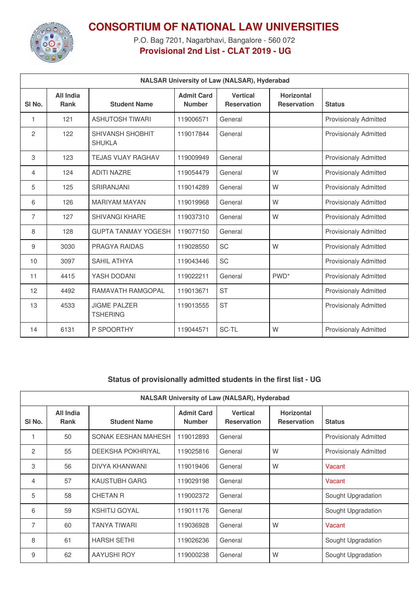

## **CONSORTIUM OF NATIONAL LAW UNIVERSITIES**

P.O. Bag 7201, Nagarbhavi, Bangalore - 560 072 **Provisional 2nd List - CLAT 2019 - UG**

| <b>NALSAR University of Law (NALSAR), Hyderabad</b> |                                 |                                          |                                    |                                       |                                         |                              |  |
|-----------------------------------------------------|---------------------------------|------------------------------------------|------------------------------------|---------------------------------------|-----------------------------------------|------------------------------|--|
| SI <sub>No.</sub>                                   | <b>All India</b><br><b>Rank</b> | <b>Student Name</b>                      | <b>Admit Card</b><br><b>Number</b> | <b>Vertical</b><br><b>Reservation</b> | <b>Horizontal</b><br><b>Reservation</b> | <b>Status</b>                |  |
| 1                                                   | 121                             | <b>ASHUTOSH TIWARI</b>                   | 119006571                          | General                               |                                         | <b>Provisionaly Admitted</b> |  |
| $\overline{c}$                                      | 122                             | <b>SHIVANSH SHOBHIT</b><br><b>SHUKLA</b> | 119017844                          | General                               |                                         | <b>Provisionaly Admitted</b> |  |
| 3                                                   | 123                             | <b>TEJAS VIJAY RAGHAV</b>                | 119009949                          | General                               |                                         | <b>Provisionaly Admitted</b> |  |
| 4                                                   | 124                             | <b>ADITI NAZRE</b>                       | 119054479                          | General                               | W                                       | <b>Provisionaly Admitted</b> |  |
| 5                                                   | 125                             | <b>SRIRANJANI</b>                        | 119014289                          | General                               | W                                       | <b>Provisionaly Admitted</b> |  |
| 6                                                   | 126                             | <b>MARIYAM MAYAN</b>                     | 119019968                          | General                               | W                                       | <b>Provisionaly Admitted</b> |  |
| 7                                                   | 127                             | <b>SHIVANGI KHARE</b>                    | 119037310                          | General                               | W                                       | <b>Provisionaly Admitted</b> |  |
| 8                                                   | 128                             | <b>GUPTA TANMAY YOGESH</b>               | 119077150                          | General                               |                                         | <b>Provisionaly Admitted</b> |  |
| 9                                                   | 3030                            | PRAGYA RAIDAS                            | 119028550                          | <b>SC</b>                             | W                                       | <b>Provisionaly Admitted</b> |  |
| 10                                                  | 3097                            | <b>SAHIL ATHYA</b>                       | 119043446                          | <b>SC</b>                             |                                         | <b>Provisionaly Admitted</b> |  |
| 11                                                  | 4415                            | YASH DODANI                              | 119022211                          | General                               | PWD <sup>*</sup>                        | <b>Provisionaly Admitted</b> |  |
| 12                                                  | 4492                            | <b>RAMAVATH RAMGOPAL</b>                 | 119013671                          | <b>ST</b>                             |                                         | <b>Provisionaly Admitted</b> |  |
| 13                                                  | 4533                            | <b>JIGMF PAI ZFR</b><br><b>TSHERING</b>  | 119013555                          | <b>ST</b>                             |                                         | <b>Provisionaly Admitted</b> |  |
| 14                                                  | 6131                            | P SPOORTHY                               | 119044571                          | SC-TL                                 | W                                       | <b>Provisionaly Admitted</b> |  |

## **Status of provisionally admitted students in the first list - UG**

| <b>NALSAR University of Law (NALSAR), Hyderabad</b> |                          |                          |                                    |                                       |                                         |                              |  |
|-----------------------------------------------------|--------------------------|--------------------------|------------------------------------|---------------------------------------|-----------------------------------------|------------------------------|--|
| SI No.                                              | All India<br><b>Rank</b> | <b>Student Name</b>      | <b>Admit Card</b><br><b>Number</b> | <b>Vertical</b><br><b>Reservation</b> | <b>Horizontal</b><br><b>Reservation</b> | <b>Status</b>                |  |
|                                                     | 50                       | SONAK EESHAN MAHESH      | 119012893                          | General                               |                                         | <b>Provisionaly Admitted</b> |  |
| 2                                                   | 55                       | <b>DEEKSHA POKHRIYAL</b> | 119025816                          | General                               | W                                       | <b>Provisionaly Admitted</b> |  |
| 3                                                   | 56                       | <b>DIVYA KHANWANI</b>    | 119019406                          | General                               | W                                       | Vacant                       |  |
| 4                                                   | 57                       | KAUSTUBH GARG            | 119029198                          | General                               |                                         | Vacant                       |  |
| 5                                                   | 58                       | <b>CHETAN R</b>          | 119002372                          | General                               |                                         | Sought Upgradation           |  |
| 6                                                   | 59                       | <b>KSHITIJ GOYAL</b>     | 119011176                          | General                               |                                         | Sought Upgradation           |  |
| $\overline{7}$                                      | 60                       | <b>TANYA TIWARI</b>      | 119036928                          | General                               | W                                       | Vacant                       |  |
| 8                                                   | 61                       | <b>HARSH SETHI</b>       | 119026236                          | General                               |                                         | Sought Upgradation           |  |
| 9                                                   | 62                       | <b>AAYUSHI ROY</b>       | 119000238                          | General                               | W                                       | Sought Upgradation           |  |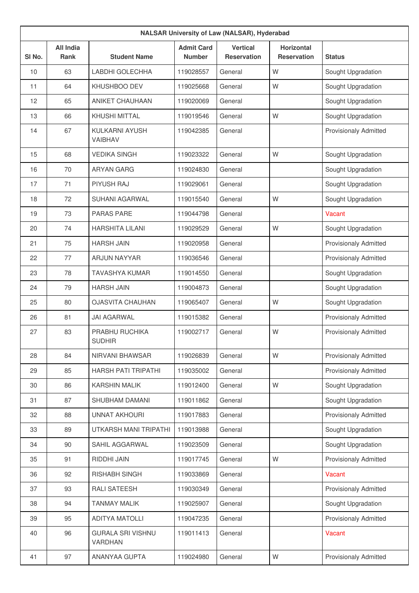|        | <b>NALSAR University of Law (NALSAR), Hyderabad</b> |                                     |                                    |                                       |                                         |                              |  |  |
|--------|-----------------------------------------------------|-------------------------------------|------------------------------------|---------------------------------------|-----------------------------------------|------------------------------|--|--|
| SI No. | <b>All India</b><br>Rank                            | <b>Student Name</b>                 | <b>Admit Card</b><br><b>Number</b> | <b>Vertical</b><br><b>Reservation</b> | <b>Horizontal</b><br><b>Reservation</b> | <b>Status</b>                |  |  |
| 10     | 63                                                  | LABDHI GOLECHHA                     | 119028557                          | General                               | W                                       | Sought Upgradation           |  |  |
| 11     | 64                                                  | <b>KHUSHBOO DEV</b>                 | 119025668                          | General                               | W                                       | Sought Upgradation           |  |  |
| 12     | 65                                                  | <b>ANIKET CHAUHAAN</b>              | 119020069                          | General                               |                                         | Sought Upgradation           |  |  |
| 13     | 66                                                  | <b>KHUSHI MITTAL</b>                | 119019546                          | General                               | W                                       | Sought Upgradation           |  |  |
| 14     | 67                                                  | KULKARNI AYUSH<br>VAIBHAV           | 119042385                          | General                               |                                         | <b>Provisionaly Admitted</b> |  |  |
| 15     | 68                                                  | <b>VEDIKA SINGH</b>                 | 119023322                          | General                               | W                                       | Sought Upgradation           |  |  |
| 16     | 70                                                  | <b>ARYAN GARG</b>                   | 119024830                          | General                               |                                         | Sought Upgradation           |  |  |
| 17     | 71                                                  | PIYUSH RAJ                          | 119029061                          | General                               |                                         | Sought Upgradation           |  |  |
| 18     | 72                                                  | <b>SUHANI AGARWAL</b>               | 119015540                          | General                               | W                                       | Sought Upgradation           |  |  |
| 19     | 73                                                  | <b>PARAS PARE</b>                   | 119044798                          | General                               |                                         | Vacant                       |  |  |
| 20     | 74                                                  | <b>HARSHITA LILANI</b>              | 119029529                          | General                               | W                                       | Sought Upgradation           |  |  |
| 21     | 75                                                  | <b>HARSH JAIN</b>                   | 119020958                          | General                               |                                         | <b>Provisionaly Admitted</b> |  |  |
| 22     | 77                                                  | <b>ARJUN NAYYAR</b>                 | 119036546                          | General                               |                                         | <b>Provisionaly Admitted</b> |  |  |
| 23     | 78                                                  | <b>TAVASHYA KUMAR</b>               | 119014550                          | General                               |                                         | Sought Upgradation           |  |  |
| 24     | 79                                                  | <b>HARSH JAIN</b>                   | 119004873                          | General                               |                                         | Sought Upgradation           |  |  |
| 25     | 80                                                  | <b>OJASVITA CHAUHAN</b>             | 119065407                          | General                               | W                                       | Sought Upgradation           |  |  |
| 26     | 81                                                  | <b>JAI AGARWAL</b>                  | 119015382                          | General                               |                                         | <b>Provisionaly Admitted</b> |  |  |
| 27     | 83                                                  | PRABHU RUCHIKA<br><b>SUDHIR</b>     | 119002717                          | General                               | W                                       | <b>Provisionaly Admitted</b> |  |  |
| 28     | 84                                                  | NIRVANI BHAWSAR                     | 119026839                          | General                               | W                                       | <b>Provisionaly Admitted</b> |  |  |
| 29     | 85                                                  | HARSH PATI TRIPATHI                 | 119035002                          | General                               |                                         | Provisionaly Admitted        |  |  |
| 30     | 86                                                  | <b>KARSHIN MALIK</b>                | 119012400                          | General                               | W                                       | Sought Upgradation           |  |  |
| 31     | 87                                                  | SHUBHAM DAMANI                      | 119011862                          | General                               |                                         | Sought Upgradation           |  |  |
| 32     | 88                                                  | <b>UNNAT AKHOURI</b>                | 119017883                          | General                               |                                         | Provisionaly Admitted        |  |  |
| 33     | 89                                                  | UTKARSH MANI TRIPATHI               | 119013988                          | General                               |                                         | Sought Upgradation           |  |  |
| 34     | 90                                                  | SAHIL AGGARWAL                      | 119023509                          | General                               |                                         | Sought Upgradation           |  |  |
| 35     | 91                                                  | RIDDHI JAIN                         | 119017745                          | General                               | W                                       | <b>Provisionaly Admitted</b> |  |  |
| 36     | 92                                                  | <b>RISHABH SINGH</b>                | 119033869                          | General                               |                                         | Vacant                       |  |  |
| 37     | 93                                                  | RALI SATEESH                        | 119030349                          | General                               |                                         | <b>Provisionaly Admitted</b> |  |  |
| 38     | 94                                                  | <b>TANMAY MALIK</b>                 | 119025907                          | General                               |                                         | Sought Upgradation           |  |  |
| 39     | 95                                                  | <b>ADITYA MATOLLI</b>               | 119047235                          | General                               |                                         | <b>Provisionaly Admitted</b> |  |  |
| 40     | 96                                                  | <b>GURALA SRI VISHNU</b><br>VARDHAN | 119011413                          | General                               |                                         | Vacant                       |  |  |
| 41     | 97                                                  | ANANYAA GUPTA                       | 119024980                          | General                               | W                                       | <b>Provisionaly Admitted</b> |  |  |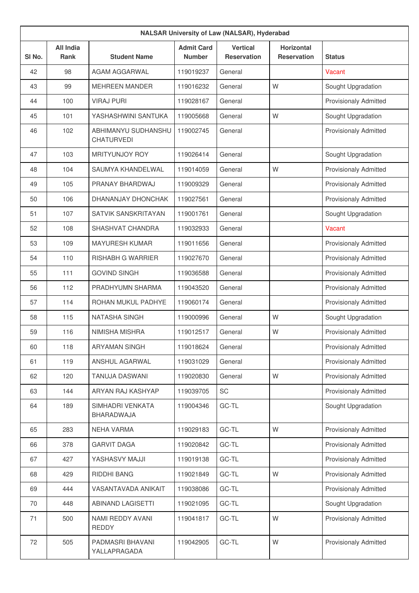| <b>NALSAR University of Law (NALSAR), Hyderabad</b> |                                 |                                          |                                    |                                       |                                         |                              |  |
|-----------------------------------------------------|---------------------------------|------------------------------------------|------------------------------------|---------------------------------------|-----------------------------------------|------------------------------|--|
| SI <sub>No.</sub>                                   | <b>All India</b><br><b>Rank</b> | <b>Student Name</b>                      | <b>Admit Card</b><br><b>Number</b> | <b>Vertical</b><br><b>Reservation</b> | <b>Horizontal</b><br><b>Reservation</b> | <b>Status</b>                |  |
| 42                                                  | 98                              | AGAM AGGARWAL                            | 119019237                          | General                               |                                         | Vacant                       |  |
| 43                                                  | 99                              | <b>MEHREEN MANDER</b>                    | 119016232                          | General                               | W                                       | Sought Upgradation           |  |
| 44                                                  | 100                             | <b>VIRAJ PURI</b>                        | 119028167                          | General                               |                                         | <b>Provisionaly Admitted</b> |  |
| 45                                                  | 101                             | YASHASHWINI SANTUKA                      | 119005668                          | General                               | W                                       | Sought Upgradation           |  |
| 46                                                  | 102                             | ABHIMANYU SUDHANSHU<br><b>CHATURVEDI</b> | 119002745                          | General                               |                                         | <b>Provisionaly Admitted</b> |  |
| 47                                                  | 103                             | <b>MRITYUNJOY ROY</b>                    | 119026414                          | General                               |                                         | Sought Upgradation           |  |
| 48                                                  | 104                             | SAUMYA KHANDELWAL                        | 119014059                          | General                               | W                                       | <b>Provisionaly Admitted</b> |  |
| 49                                                  | 105                             | PRANAY BHARDWAJ                          | 119009329                          | General                               |                                         | <b>Provisionaly Admitted</b> |  |
| 50                                                  | 106                             | DHANANJAY DHONCHAK                       | 119027561                          | General                               |                                         | <b>Provisionaly Admitted</b> |  |
| 51                                                  | 107                             | <b>SATVIK SANSKRITAYAN</b>               | 119001761                          | General                               |                                         | Sought Upgradation           |  |
| 52                                                  | 108                             | SHASHVAT CHANDRA                         | 119032933                          | General                               |                                         | Vacant                       |  |
| 53                                                  | 109                             | <b>MAYURESH KUMAR</b>                    | 119011656                          | General                               |                                         | <b>Provisionaly Admitted</b> |  |
| 54                                                  | 110                             | <b>RISHABH G WARRIER</b>                 | 119027670                          | General                               |                                         | <b>Provisionaly Admitted</b> |  |
| 55                                                  | 111                             | <b>GOVIND SINGH</b>                      | 119036588                          | General                               |                                         | <b>Provisionaly Admitted</b> |  |
| 56                                                  | 112                             | PRADHYUMN SHARMA                         | 119043520                          | General                               |                                         | <b>Provisionaly Admitted</b> |  |
| 57                                                  | 114                             | ROHAN MUKUL PADHYE                       | 119060174                          | General                               |                                         | <b>Provisionaly Admitted</b> |  |
| 58                                                  | 115                             | <b>NATASHA SINGH</b>                     | 119000996                          | General                               | W                                       | Sought Upgradation           |  |
| 59                                                  | 116                             | NIMISHA MISHRA                           | 119012517                          | General                               | W                                       | <b>Provisionaly Admitted</b> |  |
| 60                                                  | 118                             | <b>ARYAMAN SINGH</b>                     | 119018624                          | General                               |                                         | <b>Provisionaly Admitted</b> |  |
| 61                                                  | 119                             | ANSHUL AGARWAL                           | 119031029                          | General                               |                                         | <b>Provisionaly Admitted</b> |  |
| 62                                                  | 120                             | TANUJA DASWANI                           | 119020830                          | General                               | W                                       | <b>Provisionaly Admitted</b> |  |
| 63                                                  | 144                             | ARYAN RAJ KASHYAP                        | 119039705                          | SC                                    |                                         | <b>Provisionaly Admitted</b> |  |
| 64                                                  | 189                             | SIMHADRI VENKATA<br>BHARADWAJA           | 119004346                          | GC-TL                                 |                                         | Sought Upgradation           |  |
| 65                                                  | 283                             | <b>NEHA VARMA</b>                        | 119029183                          | GC-TL                                 | W                                       | <b>Provisionaly Admitted</b> |  |
| 66                                                  | 378                             | <b>GARVIT DAGA</b>                       | 119020842                          | GC-TL                                 |                                         | <b>Provisionaly Admitted</b> |  |
| 67                                                  | 427                             | YASHASVY MAJJI                           | 119019138                          | GC-TL                                 |                                         | <b>Provisionaly Admitted</b> |  |
| 68                                                  | 429                             | RIDDHI BANG                              | 119021849                          | GC-TL                                 | W                                       | <b>Provisionaly Admitted</b> |  |
| 69                                                  | 444                             | VASANTAVADA ANIKAIT                      | 119038086                          | GC-TL                                 |                                         | <b>Provisionaly Admitted</b> |  |
| 70                                                  | 448                             | <b>ABINAND LAGISETTI</b>                 | 119021095                          | GC-TL                                 |                                         | Sought Upgradation           |  |
| 71                                                  | 500                             | NAMI REDDY AVANI<br><b>REDDY</b>         | 119041817                          | GC-TL                                 | W                                       | <b>Provisionaly Admitted</b> |  |
| 72                                                  | 505                             | PADMASRI BHAVANI<br>YALLAPRAGADA         | 119042905                          | GC-TL                                 | W                                       | <b>Provisionaly Admitted</b> |  |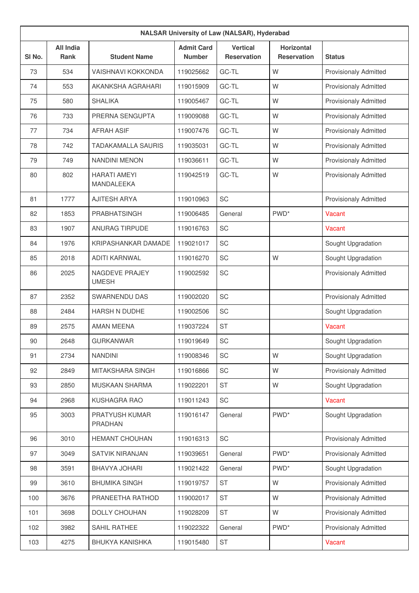| <b>NALSAR University of Law (NALSAR), Hyderabad</b> |                          |                                   |                                    |                                |                                         |                              |  |
|-----------------------------------------------------|--------------------------|-----------------------------------|------------------------------------|--------------------------------|-----------------------------------------|------------------------------|--|
| SI No.                                              | <b>All India</b><br>Rank | <b>Student Name</b>               | <b>Admit Card</b><br><b>Number</b> | <b>Vertical</b><br>Reservation | <b>Horizontal</b><br><b>Reservation</b> | <b>Status</b>                |  |
| 73                                                  | 534                      | <b>VAISHNAVI KOKKONDA</b>         | 119025662                          | GC-TL                          | W                                       | <b>Provisionaly Admitted</b> |  |
| 74                                                  | 553                      | AKANKSHA AGRAHARI                 | 119015909                          | GC-TL                          | W                                       | <b>Provisionaly Admitted</b> |  |
| 75                                                  | 580                      | <b>SHALIKA</b>                    | 119005467                          | GC-TL                          | W                                       | <b>Provisionaly Admitted</b> |  |
| 76                                                  | 733                      | PRERNA SENGUPTA                   | 119009088                          | GC-TL                          | W                                       | <b>Provisionaly Admitted</b> |  |
| 77                                                  | 734                      | <b>AFRAH ASIF</b>                 | 119007476                          | GC-TL                          | W                                       | <b>Provisionaly Admitted</b> |  |
| 78                                                  | 742                      | <b>TADAKAMALLA SAURIS</b>         | 119035031                          | GC-TL                          | W                                       | <b>Provisionaly Admitted</b> |  |
| 79                                                  | 749                      | <b>NANDINI MENON</b>              | 119036611                          | GC-TL                          | W                                       | <b>Provisionaly Admitted</b> |  |
| 80                                                  | 802                      | <b>HARATI AMEYI</b><br>MANDALEEKA | 119042519                          | GC-TL                          | W                                       | <b>Provisionaly Admitted</b> |  |
| 81                                                  | 1777                     | <b>AJITESH ARYA</b>               | 119010963                          | SC                             |                                         | <b>Provisionaly Admitted</b> |  |
| 82                                                  | 1853                     | <b>PRABHATSINGH</b>               | 119006485                          | General                        | PWD <sup>*</sup>                        | Vacant                       |  |
| 83                                                  | 1907                     | <b>ANURAG TIRPUDE</b>             | 119016763                          | <b>SC</b>                      |                                         | Vacant                       |  |
| 84                                                  | 1976                     | KRIPASHANKAR DAMADE               | 119021017                          | SC                             |                                         | Sought Upgradation           |  |
| 85                                                  | 2018                     | <b>ADITI KARNWAL</b>              | 119016270                          | SC                             | W                                       | Sought Upgradation           |  |
| 86                                                  | 2025                     | NAGDEVE PRAJEY<br><b>UMESH</b>    | 119002592                          | SC                             |                                         | <b>Provisionaly Admitted</b> |  |
| 87                                                  | 2352                     | SWARNENDU DAS                     | 119002020                          | SC                             |                                         | <b>Provisionaly Admitted</b> |  |
| 88                                                  | 2484                     | HARSH N DUDHE                     | 119002506                          | SC                             |                                         | Sought Upgradation           |  |
| 89                                                  | 2575                     | <b>AMAN MEENA</b>                 | 119037224                          | <b>ST</b>                      |                                         | Vacant                       |  |
| 90                                                  | 2648                     | <b>GURKANWAR</b>                  | 119019649                          | SC                             |                                         | Sought Upgradation           |  |
| 91                                                  | 2734                     | <b>NANDINI</b>                    | 119008346                          | SC                             | W                                       | Sought Upgradation           |  |
| 92                                                  | 2849                     | MITAKSHARA SINGH                  | 119016866                          | SC                             | W                                       | <b>Provisionaly Admitted</b> |  |
| 93                                                  | 2850                     | MUSKAAN SHARMA                    | 119022201                          | <b>ST</b>                      | W                                       | Sought Upgradation           |  |
| 94                                                  | 2968                     | <b>KUSHAGRA RAO</b>               | 119011243                          | SC                             |                                         | Vacant                       |  |
| 95                                                  | 3003                     | PRATYUSH KUMAR<br><b>PRADHAN</b>  | 119016147                          | General                        | PWD <sup>*</sup>                        | Sought Upgradation           |  |
| 96                                                  | 3010                     | HEMANT CHOUHAN                    | 119016313                          | SC                             |                                         | <b>Provisionaly Admitted</b> |  |
| 97                                                  | 3049                     | <b>SATVIK NIRANJAN</b>            | 119039651                          | General                        | PWD <sup>*</sup>                        | <b>Provisionaly Admitted</b> |  |
| 98                                                  | 3591                     | BHAVYA JOHARI                     | 119021422                          | General                        | PWD <sup>*</sup>                        | Sought Upgradation           |  |
| 99                                                  | 3610                     | <b>BHUMIKA SINGH</b>              | 119019757                          | <b>ST</b>                      | W                                       | <b>Provisionaly Admitted</b> |  |
| 100                                                 | 3676                     | PRANEETHA RATHOD                  | 119002017                          | <b>ST</b>                      | W                                       | <b>Provisionaly Admitted</b> |  |
| 101                                                 | 3698                     | DOLLY CHOUHAN                     | 119028209                          | <b>ST</b>                      | W                                       | <b>Provisionaly Admitted</b> |  |
| 102                                                 | 3982                     | SAHIL RATHEE                      | 119022322                          | General                        | PWD <sup>*</sup>                        | Provisionaly Admitted        |  |
| 103                                                 | 4275                     | <b>BHUKYA KANISHKA</b>            | 119015480                          | ST                             |                                         | Vacant                       |  |